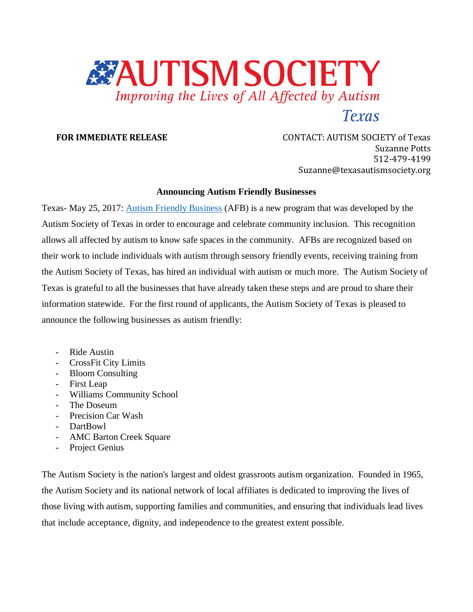

**FOR IMMEDIATE RELEASE CONTACT: AUTISM SOCIETY of Texas** Suzanne Potts 512-479-4199 Suzanne@texasautismsociety.org

## **Announcing Autism Friendly Businesses**

Texas- May 25, 2017: [Autism Friendly Business](http://www.texasautismsociety.org/resources/autism-friendly-businesses/) (AFB) is a new program that was developed by the Autism Society of Texas in order to encourage and celebrate community inclusion. This recognition allows all affected by autism to know safe spaces in the community. AFBs are recognized based on their work to include individuals with autism through sensory friendly events, receiving training from the Autism Society of Texas, has hired an individual with autism or much more. The Autism Society of Texas is grateful to all the businesses that have already taken these steps and are proud to share their information statewide. For the first round of applicants, the Autism Society of Texas is pleased to announce the following businesses as autism friendly:

- Ride Austin
- CrossFit City Limits
- Bloom Consulting
- First Leap
- Williams Community School
- The Doseum
- Precision Car Wash
- DartBowl
- AMC Barton Creek Square
- Project Genius

The Autism Society is the nation's largest and oldest grassroots autism organization. Founded in 1965, the Autism Society and its national network of local affiliates is dedicated to improving the lives of those living with autism, supporting families and communities, and ensuring that individuals lead lives that include acceptance, dignity, and independence to the greatest extent possible.